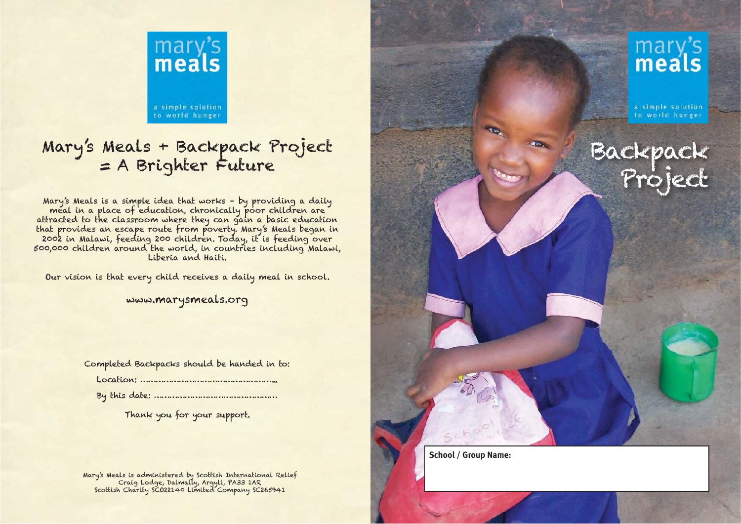

## Mary's Meals + Backpack Project = A Brighter Future Backpack Project = A Brighter Future Project = A Brighter Future Project = A Brighter Future Project = Project = Project = A Brighter Sex Change of education, chronically

that provides an escape route from poverty. Mary's Meals began in<br>2002 in Malawi, feeding 200 children. Today, it is feeding over<br>500,000 children around the world, in countries including Malawi,<br>Liberia and Haiti.

Our vision is that every child receives a daily meal in school.

www.marysmeals.org

Completed Backpacks should be handed in to:

Thank you for your support.

Mary's Meals is administered by Scottish International Relief Craig Lodge, Dalmally, Argyll, PA33 1AR Scottish Charity SCO22140 Limited Company SC265941



a simple solution to world hunger

**School / Group Name:**